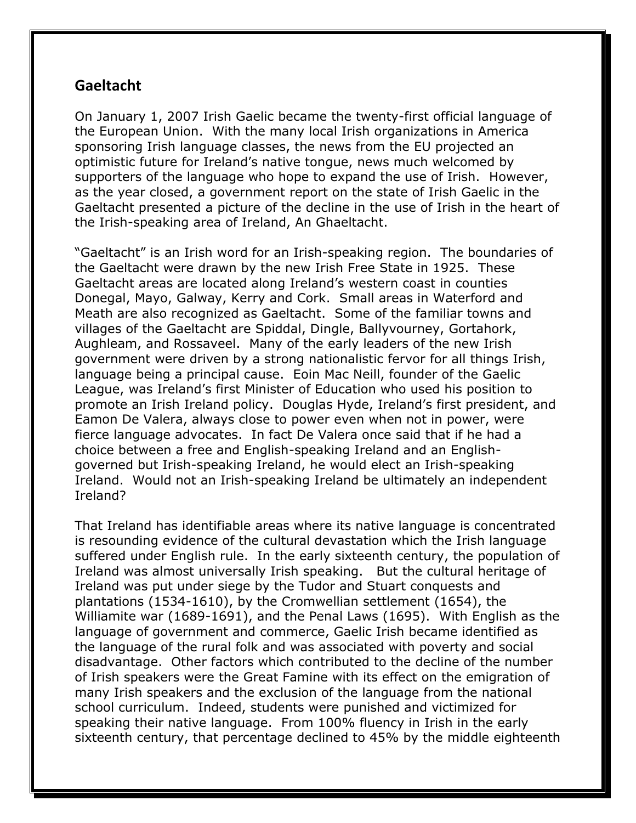## **Gaeltacht**

On January 1, 2007 Irish Gaelic became the twenty-first official language of the European Union. With the many local Irish organizations in America sponsoring Irish language classes, the news from the EU projected an optimistic future for Ireland's native tongue, news much welcomed by supporters of the language who hope to expand the use of Irish. However, as the year closed, a government report on the state of Irish Gaelic in the Gaeltacht presented a picture of the decline in the use of Irish in the heart of the Irish-speaking area of Ireland, An Ghaeltacht.

"Gaeltacht" is an Irish word for an Irish-speaking region. The boundaries of the Gaeltacht were drawn by the new Irish Free State in 1925. These Gaeltacht areas are located along Ireland's western coast in counties Donegal, Mayo, Galway, Kerry and Cork. Small areas in Waterford and Meath are also recognized as Gaeltacht. Some of the familiar towns and villages of the Gaeltacht are Spiddal, Dingle, Ballyvourney, Gortahork, Aughleam, and Rossaveel. Many of the early leaders of the new Irish government were driven by a strong nationalistic fervor for all things Irish, language being a principal cause. Eoin Mac Neill, founder of the Gaelic League, was Ireland's first Minister of Education who used his position to promote an Irish Ireland policy. Douglas Hyde, Ireland's first president, and Eamon De Valera, always close to power even when not in power, were fierce language advocates. In fact De Valera once said that if he had a choice between a free and English-speaking Ireland and an Englishgoverned but Irish-speaking Ireland, he would elect an Irish-speaking Ireland. Would not an Irish-speaking Ireland be ultimately an independent Ireland?

That Ireland has identifiable areas where its native language is concentrated is resounding evidence of the cultural devastation which the Irish language suffered under English rule. In the early sixteenth century, the population of Ireland was almost universally Irish speaking. But the cultural heritage of Ireland was put under siege by the Tudor and Stuart conquests and plantations (1534-1610), by the Cromwellian settlement (1654), the Williamite war (1689-1691), and the Penal Laws (1695). With English as the language of government and commerce, Gaelic Irish became identified as the language of the rural folk and was associated with poverty and social disadvantage. Other factors which contributed to the decline of the number of Irish speakers were the Great Famine with its effect on the emigration of many Irish speakers and the exclusion of the language from the national school curriculum. Indeed, students were punished and victimized for speaking their native language. From 100% fluency in Irish in the early sixteenth century, that percentage declined to 45% by the middle eighteenth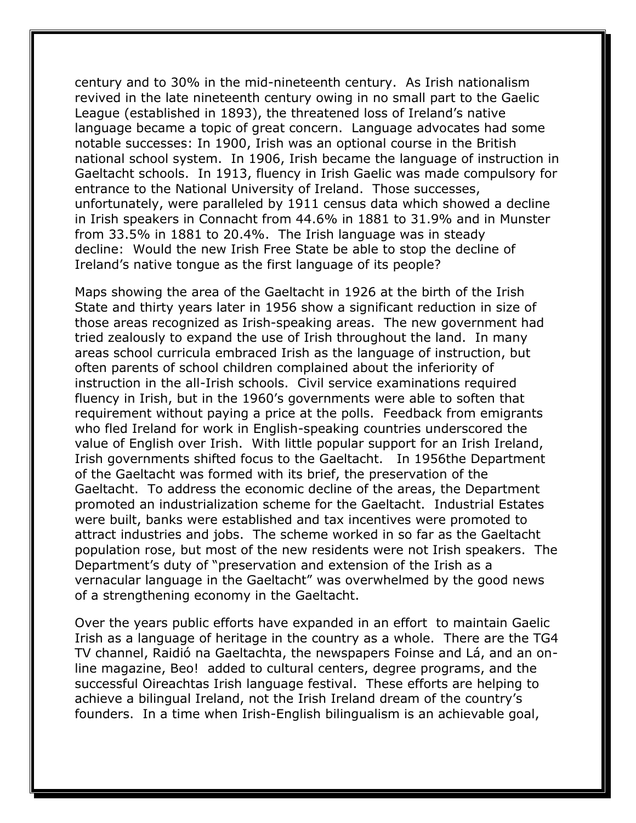century and to 30% in the mid-nineteenth century. As Irish nationalism revived in the late nineteenth century owing in no small part to the Gaelic League (established in 1893), the threatened loss of Ireland's native language became a topic of great concern. Language advocates had some notable successes: In 1900, Irish was an optional course in the British national school system. In 1906, Irish became the language of instruction in Gaeltacht schools. In 1913, fluency in Irish Gaelic was made compulsory for entrance to the National University of Ireland. Those successes, unfortunately, were paralleled by 1911 census data which showed a decline in Irish speakers in Connacht from 44.6% in 1881 to 31.9% and in Munster from 33.5% in 1881 to 20.4%. The Irish language was in steady decline: Would the new Irish Free State be able to stop the decline of Ireland's native tongue as the first language of its people?

Maps showing the area of the Gaeltacht in 1926 at the birth of the Irish State and thirty years later in 1956 show a significant reduction in size of those areas recognized as Irish-speaking areas. The new government had tried zealously to expand the use of Irish throughout the land. In many areas school curricula embraced Irish as the language of instruction, but often parents of school children complained about the inferiority of instruction in the all-Irish schools. Civil service examinations required fluency in Irish, but in the 1960's governments were able to soften that requirement without paying a price at the polls. Feedback from emigrants who fled Ireland for work in English-speaking countries underscored the value of English over Irish. With little popular support for an Irish Ireland, Irish governments shifted focus to the Gaeltacht. In 1956the Department of the Gaeltacht was formed with its brief, the preservation of the Gaeltacht. To address the economic decline of the areas, the Department promoted an industrialization scheme for the Gaeltacht. Industrial Estates were built, banks were established and tax incentives were promoted to attract industries and jobs. The scheme worked in so far as the Gaeltacht population rose, but most of the new residents were not Irish speakers. The Department's duty of "preservation and extension of the Irish as a vernacular language in the Gaeltacht" was overwhelmed by the good news of a strengthening economy in the Gaeltacht.

Over the years public efforts have expanded in an effort to maintain Gaelic Irish as a language of heritage in the country as a whole. There are the TG4 TV channel, Raidió na Gaeltachta, the newspapers Foinse and Lá, and an online magazine, Beo! added to cultural centers, degree programs, and the successful Oireachtas Irish language festival. These efforts are helping to achieve a bilingual Ireland, not the Irish Ireland dream of the country's founders. In a time when Irish-English bilingualism is an achievable goal,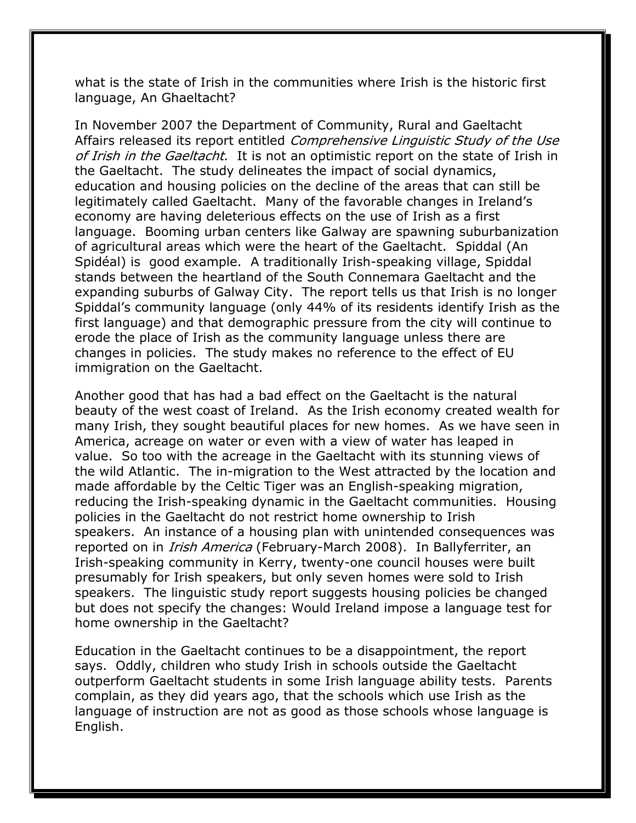what is the state of Irish in the communities where Irish is the historic first language, An Ghaeltacht?

In November 2007 the Department of Community, Rural and Gaeltacht Affairs released its report entitled *Comprehensive Linguistic Study of the Use* of Irish in the Gaeltacht. It is not an optimistic report on the state of Irish in the Gaeltacht. The study delineates the impact of social dynamics, education and housing policies on the decline of the areas that can still be legitimately called Gaeltacht. Many of the favorable changes in Ireland's economy are having deleterious effects on the use of Irish as a first language. Booming urban centers like Galway are spawning suburbanization of agricultural areas which were the heart of the Gaeltacht. Spiddal (An Spidéal) is good example. A traditionally Irish-speaking village, Spiddal stands between the heartland of the South Connemara Gaeltacht and the expanding suburbs of Galway City. The report tells us that Irish is no longer Spiddal's community language (only 44% of its residents identify Irish as the first language) and that demographic pressure from the city will continue to erode the place of Irish as the community language unless there are changes in policies. The study makes no reference to the effect of EU immigration on the Gaeltacht.

Another good that has had a bad effect on the Gaeltacht is the natural beauty of the west coast of Ireland. As the Irish economy created wealth for many Irish, they sought beautiful places for new homes. As we have seen in America, acreage on water or even with a view of water has leaped in value. So too with the acreage in the Gaeltacht with its stunning views of the wild Atlantic. The in-migration to the West attracted by the location and made affordable by the Celtic Tiger was an English-speaking migration, reducing the Irish-speaking dynamic in the Gaeltacht communities. Housing policies in the Gaeltacht do not restrict home ownership to Irish speakers. An instance of a housing plan with unintended consequences was reported on in *Irish America* (February-March 2008). In Ballyferriter, an Irish-speaking community in Kerry, twenty-one council houses were built presumably for Irish speakers, but only seven homes were sold to Irish speakers. The linguistic study report suggests housing policies be changed but does not specify the changes: Would Ireland impose a language test for home ownership in the Gaeltacht?

Education in the Gaeltacht continues to be a disappointment, the report says. Oddly, children who study Irish in schools outside the Gaeltacht outperform Gaeltacht students in some Irish language ability tests. Parents complain, as they did years ago, that the schools which use Irish as the language of instruction are not as good as those schools whose language is English.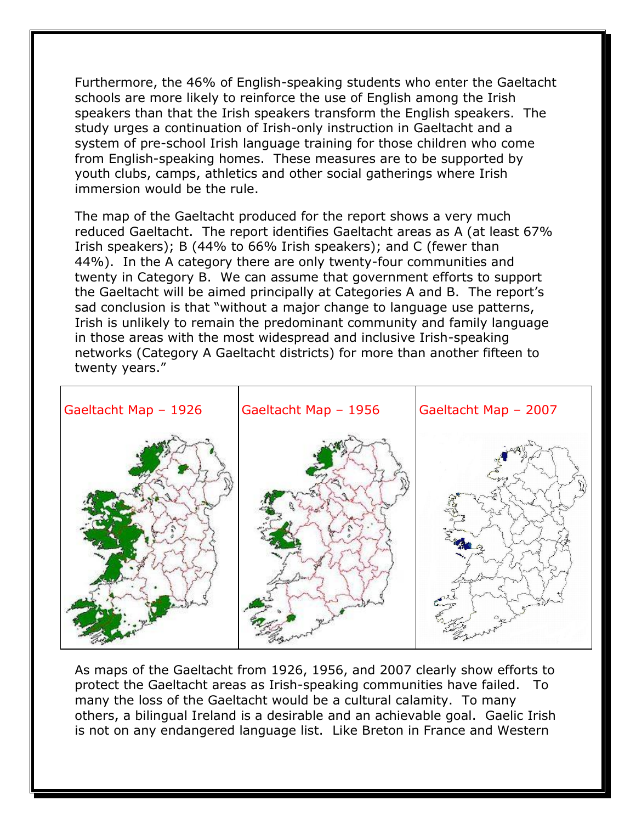Furthermore, the 46% of English-speaking students who enter the Gaeltacht schools are more likely to reinforce the use of English among the Irish speakers than that the Irish speakers transform the English speakers. The study urges a continuation of Irish-only instruction in Gaeltacht and a system of pre-school Irish language training for those children who come from English-speaking homes. These measures are to be supported by youth clubs, camps, athletics and other social gatherings where Irish immersion would be the rule.

The map of the Gaeltacht produced for the report shows a very much reduced Gaeltacht. The report identifies Gaeltacht areas as A (at least 67% Irish speakers); B (44% to 66% Irish speakers); and C (fewer than 44%). In the A category there are only twenty-four communities and twenty in Category B. We can assume that government efforts to support the Gaeltacht will be aimed principally at Categories A and B. The report's sad conclusion is that "without a major change to language use patterns, Irish is unlikely to remain the predominant community and family language in those areas with the most widespread and inclusive Irish-speaking networks (Category A Gaeltacht districts) for more than another fifteen to twenty years."



As maps of the Gaeltacht from 1926, 1956, and 2007 clearly show efforts to protect the Gaeltacht areas as Irish-speaking communities have failed. To many the loss of the Gaeltacht would be a cultural calamity. To many others, a bilingual Ireland is a desirable and an achievable goal. Gaelic Irish is not on any endangered language list. Like Breton in France and Western